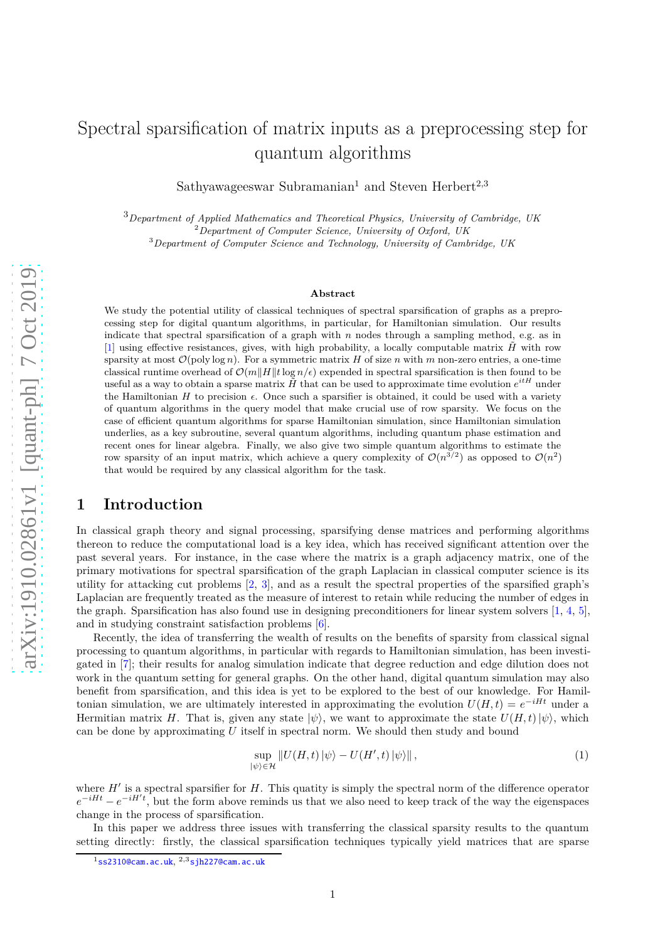# Spectral sparsification of matrix inputs as a preprocessing step for quantum algorithms

Sathyawageeswar Subramanian<sup>1</sup> and Steven Herbert<sup>2,3</sup>

<sup>3</sup>*Department of Applied Mathematics and Theoretical Physics, University of Cambridge, UK* <sup>2</sup>*Department of Computer Science, University of Oxford, UK* <sup>3</sup>*Department of Computer Science and Technology, University of Cambridge, UK*

#### **Abstract**

We study the potential utility of classical techniques of spectral sparsification of graphs as a preprocessing step for digital quantum algorithms, in particular, for Hamiltonian simulation. Our results indicate that spectral sparsification of a graph with *n* nodes through a sampling method, e.g. as in [\[1\]](#page-9-0) using effective resistances, gives, with high probability, a locally computable matrix  $\tilde{H}$  with row sparsity at most  $\mathcal{O}(\text{poly} \log n)$ . For a symmetric matrix *H* of size *n* with *m* non-zero entries, a one-time classical runtime overhead of  $\mathcal{O}(m||H||t \log n/\epsilon)$  expended in spectral sparsification is then found to be useful as a way to obtain a sparse matrix  $\tilde{H}$  that can be used to approximate time evolution  $e^{itH}$  under the Hamiltonian  $H$  to precision  $\epsilon$ . Once such a sparsifier is obtained, it could be used with a variety of quantum algorithms in the query model that make crucial use of row sparsity. We focus on the case of efficient quantum algorithms for sparse Hamiltonian simulation, since Hamiltonian simulation underlies, as a key subroutine, several quantum algorithms, including quantum phase estimation and recent ones for linear algebra. Finally, we also give two simple quantum algorithms to estimate the row sparsity of an input matrix, which achieve a query complexity of  $\mathcal{O}(n^{3/2})$  as opposed to  $\mathcal{O}(n^2)$ that would be required by any classical algorithm for the task.

## **1 Introduction**

I[n](#page-0-0) classical graph theory and signal processing, sparsifying dense matrices and performing algorithms thereon to reduce the computational load is a key idea, which has received significant attention over the past several years. For instance, in the case where the matrix is a graph adjacency matrix, one of the primary motivations for spectral sparsification of the graph Laplacian in classical computer science is its utility for attacking cut problems [\[2,](#page-9-1) [3\]](#page-9-2), and as a result the spectral properties of the sparsified graph's Laplacian are frequently treated as the measure of interest to retain while reducing the number of edges in the graph. Sparsification has also found use in designing preconditioners for linear system solvers [\[1,](#page-9-0) [4,](#page-9-3) [5\]](#page-9-4), and in studying constraint satisfaction problems [\[6\]](#page-9-5).

Recently, the idea of transferring the wealth of results on the benefits of sparsity from classical signal processing to quantum algorithms, in particular with regards to Hamiltonian simulation, has been investigated in [\[7\]](#page-9-6); their results for analog simulation indicate that degree reduction and edge dilution does not work in the quantum setting for general graphs. On the other hand, digital quantum simulation may also benefit from sparsification, and this idea is yet to be explored to the best of our knowledge. For Hamiltonian simulation, we are ultimately interested in approximating the evolution  $U(H, t) = e^{-iHt}$  under a Hermitian matrix *H*. That is, given any state  $|\psi\rangle$ , we want to approximate the state  $U(H, t) | \psi\rangle$ , which can be done by approximating *U* itself in spectral norm. We should then study and bound

$$
\sup_{|\psi\rangle \in \mathcal{H}} \|U(H,t)\,\psi\rangle - U(H',t)\,\psi\rangle\| \,,\tag{1}
$$

where  $H'$  is a spectral sparsifier for  $H$ . This quatity is simply the spectral norm of the difference operator  $e^{-iHt} - e^{-iH't}$ , but the form above reminds us that we also need to keep track of the way the eigenspaces change in the process of sparsification.

In this paper we address three issues with transferring the classical sparsity results to the quantum setting directly: firstly, the classical sparsification techniques typically yield matrices that are sparse

<span id="page-0-0"></span><sup>1</sup>[ss2310@cam.ac.uk](mailto:ss2310@cam.ac.uk), <sup>2</sup>*,*3[sjh227@cam.ac.uk](mailto:sjh227@cam.ac.uk)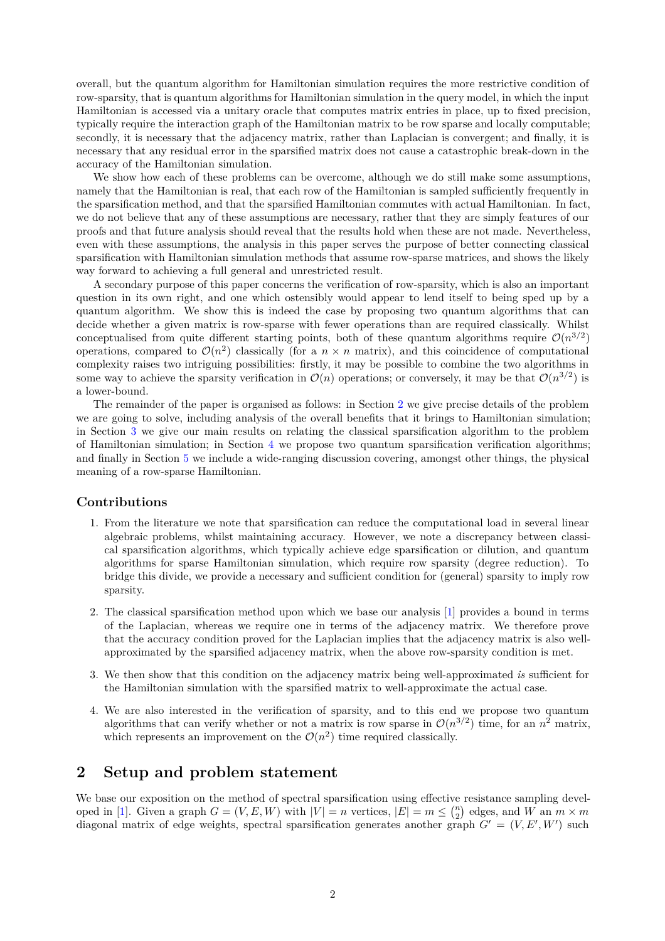overall, but the quantum algorithm for Hamiltonian simulation requires the more restrictive condition of row-sparsity, that is quantum algorithms for Hamiltonian simulation in the query model, in which the input Hamiltonian is accessed via a unitary oracle that computes matrix entries in place, up to fixed precision, typically require the interaction graph of the Hamiltonian matrix to be row sparse and locally computable; secondly, it is necessary that the adjacency matrix, rather than Laplacian is convergent; and finally, it is necessary that any residual error in the sparsified matrix does not cause a catastrophic break-down in the accuracy of the Hamiltonian simulation.

We show how each of these problems can be overcome, although we do still make some assumptions, namely that the Hamiltonian is real, that each row of the Hamiltonian is sampled sufficiently frequently in the sparsification method, and that the sparsified Hamiltonian commutes with actual Hamiltonian. In fact, we do not believe that any of these assumptions are necessary, rather that they are simply features of our proofs and that future analysis should reveal that the results hold when these are not made. Nevertheless, even with these assumptions, the analysis in this paper serves the purpose of better connecting classical sparsification with Hamiltonian simulation methods that assume row-sparse matrices, and shows the likely way forward to achieving a full general and unrestricted result.

A secondary purpose of this paper concerns the verification of row-sparsity, which is also an important question in its own right, and one which ostensibly would appear to lend itself to being sped up by a quantum algorithm. We show this is indeed the case by proposing two quantum algorithms that can decide whether a given matrix is row-sparse with fewer operations than are required classically. Whilst conceptualised from quite different starting points, both of these quantum algorithms require  $\mathcal{O}(n^{3/2})$ operations, compared to  $\mathcal{O}(n^2)$  classically (for a  $n \times n$  matrix), and this coincidence of computational complexity raises two intriguing possibilities: firstly, it may be possible to combine the two algorithms in some way to achieve the sparsity verification in  $\mathcal{O}(n)$  operations; or conversely, it may be that  $\mathcal{O}(n^{3/2})$  is a lower-bound.

The remainder of the paper is organised as follows: in Section [2](#page-1-0) we give precise details of the problem we are going to solve, including analysis of the overall benefits that it brings to Hamiltonian simulation; in Section [3](#page-2-0) we give our main results on relating the classical sparsification algorithm to the problem of Hamiltonian simulation; in Section [4](#page-5-0) we propose two quantum sparsification verification algorithms; and finally in Section [5](#page-7-0) we include a wide-ranging discussion covering, amongst other things, the physical meaning of a row-sparse Hamiltonian.

#### **Contributions**

- 1. From the literature we note that sparsification can reduce the computational load in several linear algebraic problems, whilst maintaining accuracy. However, we note a discrepancy between classical sparsification algorithms, which typically achieve edge sparsification or dilution, and quantum algorithms for sparse Hamiltonian simulation, which require row sparsity (degree reduction). To bridge this divide, we provide a necessary and sufficient condition for (general) sparsity to imply row sparsity.
- 2. The classical sparsification method upon which we base our analysis [\[1\]](#page-9-0) provides a bound in terms of the Laplacian, whereas we require one in terms of the adjacency matrix. We therefore prove that the accuracy condition proved for the Laplacian implies that the adjacency matrix is also wellapproximated by the sparsified adjacency matrix, when the above row-sparsity condition is met.
- 3. We then show that this condition on the adjacency matrix being well-approximated *is* sufficient for the Hamiltonian simulation with the sparsified matrix to well-approximate the actual case.
- 4. We are also interested in the verification of sparsity, and to this end we propose two quantum algorithms that can verify whether or not a matrix is row sparse in  $\mathcal{O}(n^{3/2})$  time, for an  $n^2$  matrix, which represents an improvement on the  $\mathcal{O}(n^2)$  time required classically.

## <span id="page-1-0"></span>**2 Setup and problem statement**

We base our exposition on the method of spectral sparsification using effective resistance sampling devel-oped in [\[1\]](#page-9-0). Given a graph  $G = (V, E, W)$  with  $|V| = n$  vertices,  $|E| = m \leq {n \choose 2}$  edges, and  $W$  an  $m \times m$ diagonal matrix of edge weights, spectral sparsification generates another graph  $G' = (V, E', W')$  such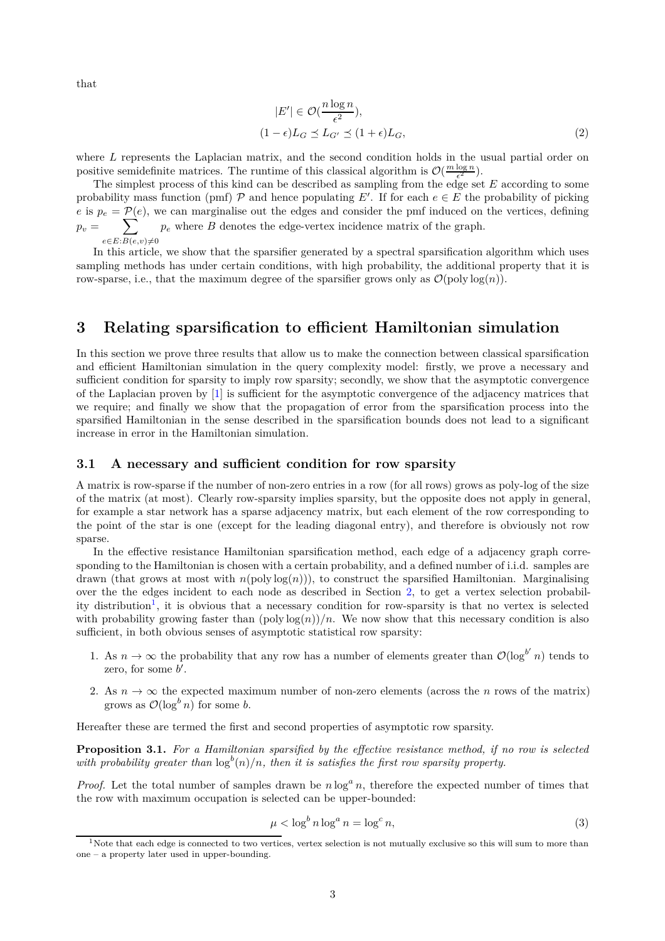that

$$
|E'| \in \mathcal{O}(\frac{n \log n}{\epsilon^2}),
$$
  

$$
(1 - \epsilon)L_G \preceq L_{G'} \preceq (1 + \epsilon)L_G,
$$
 (2)

where *L* represents the Laplacian matrix, and the second condition holds in the usual partial order on positive semidefinite matrices. The runtime of this classical algorithm is  $\mathcal{O}(\frac{m \log n}{\epsilon^2})$ .

The simplest process of this kind can be described as sampling from the edge set *E* according to some probability mass function (pmf)  $P$  and hence populating  $E'$ . If for each  $e \in E$  the probability of picking *e* is  $p_e = \mathcal{P}(e)$ , we can marginalise out the edges and consider the pmf induced on the vertices, defining  $p_v =$  $\sum$  $e∈E:B(e,v)≠0$  $p_e$  where  $B$  denotes the edge-vertex incidence matrix of the graph.

In this article, we show that the sparsifier generated by a spectral sparsification algorithm which uses sampling methods has under certain conditions, with high probability, the additional property that it is row-sparse, i.e., that the maximum degree of the sparsifier grows only as  $\mathcal{O}(\text{poly}\log(n))$ .

## <span id="page-2-0"></span>**3 Relating sparsification to efficient Hamiltonian simulation**

In this section we prove three results that allow us to make the connection between classical sparsification and efficient Hamiltonian simulation in the query complexity model: firstly, we prove a necessary and sufficient condition for sparsity to imply row sparsity; secondly, we show that the asymptotic convergence of the Laplacian proven by [\[1\]](#page-9-0) is sufficient for the asymptotic convergence of the adjacency matrices that we require; and finally we show that the propagation of error from the sparsification process into the sparsified Hamiltonian in the sense described in the sparsification bounds does not lead to a significant increase in error in the Hamiltonian simulation.

#### **3.1 A necessary and sufficient condition for row sparsity**

A matrix is row-sparse if the number of non-zero entries in a row (for all rows) grows as poly-log of the size of the matrix (at most). Clearly row-sparsity implies sparsity, but the opposite does not apply in general, for example a star network has a sparse adjacency matrix, but each element of the row corresponding to the point of the star is one (except for the leading diagonal entry), and therefore is obviously not row sparse.

In the effective resistance Hamiltonian sparsification method, each edge of a adjacency graph corresponding to the Hamiltonian is chosen with a certain probability, and a defined number of i.i.d. samples are drawn (that grows at most with  $n(\text{poly}\log(n)))$ , to construct the sparsified Hamiltonian. Marginalising over the the edges incident to each node as described in Section [2,](#page-1-0) to get a vertex selection probabil-ity distribution<sup>[1](#page-2-1)</sup>, it is obvious that a necessary condition for row-sparsity is that no vertex is selected with probability growing faster than  $(\text{poly}\log(n))/n$ . We now show that this necessary condition is also sufficient, in both obvious senses of asymptotic statistical row sparsity:

- 1. As  $n \to \infty$  the probability that any row has a number of elements greater than  $\mathcal{O}(\log^{b'} n)$  tends to zero, for some *b'*.
- 2. As  $n \to \infty$  the expected maximum number of non-zero elements (across the *n* rows of the matrix) grows as  $\mathcal{O}(\log^b n)$  for some *b*.

Hereafter these are termed the first and second properties of asymptotic row sparsity.

<span id="page-2-2"></span>**Proposition 3.1.** *For a Hamiltonian sparsified by the effective resistance method, if no row is selected* with probability greater than  $\log^b(n)/n$ , then it is satisfies the first row sparsity property.

*Proof.* Let the total number of samples drawn be  $n \log^a n$ , therefore the expected number of times that the row with maximum occupation is selected can be upper-bounded:

$$
\mu < \log^b n \log^a n = \log^c n,\tag{3}
$$

<span id="page-2-1"></span><sup>&</sup>lt;sup>1</sup>Note that each edge is connected to two vertices, vertex selection is not mutually exclusive so this will sum to more than one – a property later used in upper-bounding.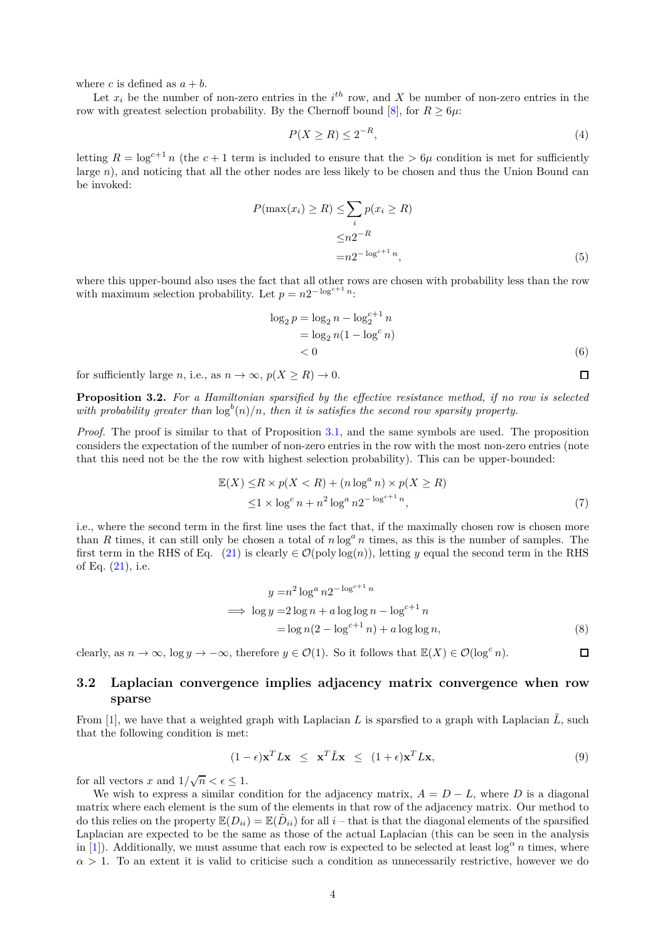where *c* is defined as  $a + b$ .

Let  $x_i$  be the number of non-zero entries in the  $i^{th}$  row, and  $X$  be number of non-zero entries in the row with greatest selection probability. By the Chernoff bound  $[8]$ , for  $R > 6\mu$ :

$$
P(X \ge R) \le 2^{-R},\tag{4}
$$

letting  $R = \log^{c+1} n$  (the  $c + 1$  term is included to ensure that the  $> 6\mu$  condition is met for sufficiently large *n*), and noticing that all the other nodes are less likely to be chosen and thus the Union Bound can be invoked:

$$
P(\max(x_i) \ge R) \le \sum_i p(x_i \ge R)
$$

$$
\le n2^{-R}
$$

$$
= n2^{-\log^{c+1} n}, \tag{5}
$$

where this upper-bound also uses the fact that all other rows are chosen with probability less than the row with maximum selection probability. Let  $p = n2^{-\log^{c+1} n}$ :

$$
\log_2 p = \log_2 n - \log_2^{c+1} n
$$
  
=  $\log_2 n (1 - \log^c n)$   
< 0 (6)

for sufficiently large *n*, i.e., as  $n \to \infty$ ,  $p(X \ge R) \to 0$ .

**Proposition 3.2.** *For a Hamiltonian sparsified by the effective resistance method, if no row is selected* with probability greater than  $\log^b(n)/n$ , then it is satisfies the second row sparsity property.

*Proof.* The proof is similar to that of Proposition [3.1,](#page-2-2) and the same symbols are used. The proposition considers the expectation of the number of non-zero entries in the row with the most non-zero entries (note that this need not be the the row with highest selection probability). This can be upper-bounded:

$$
\mathbb{E}(X) \le R \times p(X < R) + (n \log^a n) \times p(X \ge R) \\
\le 1 \times \log^c n + n^2 \log^a n 2^{-\log^{c+1} n},\n \tag{7}
$$

i.e., where the second term in the first line uses the fact that, if the maximally chosen row is chosen more than *R* times, it can still only be chosen a total of *n* log*<sup>a</sup> n* times, as this is the number of samples. The first term in the RHS of Eq. [\(21\)](#page-6-0) is clearly  $\in \mathcal{O}(\text{poly}\log(n))$ , letting *y* equal the second term in the RHS of Eq. [\(21\)](#page-6-0), i.e.

$$
y = n^2 \log^a n 2^{-\log^{c+1} n}
$$
  
\n
$$
\implies \log y = 2 \log n + a \log \log n - \log^{c+1} n
$$
  
\n
$$
= \log n (2 - \log^{c+1} n) + a \log \log n,
$$
\n(8)

clearly, as  $n \to \infty$ ,  $\log y \to -\infty$ , therefore  $y \in \mathcal{O}(1)$ . So it follows that  $\mathbb{E}(X) \in \mathcal{O}(\log^c n)$ .  $\Box$ 

## <span id="page-3-1"></span>**3.2 Laplacian convergence implies adjacency matrix convergence when row sparse**

From [\[1\]](#page-9-0), we have that a weighted graph with Laplacian L is sparsfied to a graph with Laplacian  $\tilde{L}$ , such that the following condition is met:

<span id="page-3-0"></span>
$$
(1 - \epsilon)\mathbf{x}^T L \mathbf{x} \leq \mathbf{x}^T \tilde{L} \mathbf{x} \leq (1 + \epsilon)\mathbf{x}^T L \mathbf{x}, \tag{9}
$$

for all vectors *x* and  $1/\sqrt{n} < \epsilon \leq 1$ .

We wish to express a similar condition for the adjacency matrix,  $A = D - L$ , where *D* is a diagonal matrix where each element is the sum of the elements in that row of the adjacency matrix. Our method to do this relies on the property  $\mathbb{E}(D_{ii}) = \mathbb{E}(\tilde{D}_{ii})$  for all *i* – that is that the diagonal elements of the sparsified Laplacian are expected to be the same as those of the actual Laplacian (this can be seen in the analysis in [\[1\]](#page-9-0)). Additionally, we must assume that each row is expected to be selected at least  $\log^\alpha n$  times, where  $\alpha > 1$ . To an extent it is valid to criticise such a condition as unnecessarily restrictive, however we do

 $\Box$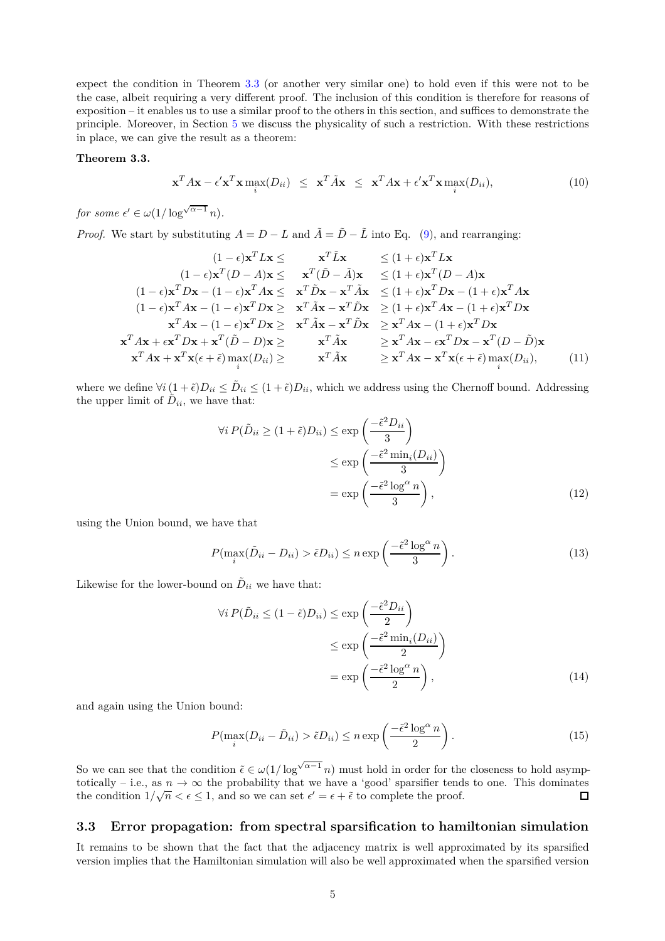expect the condition in Theorem [3.3](#page-4-0) (or another very similar one) to hold even if this were not to be the case, albeit requiring a very different proof. The inclusion of this condition is therefore for reasons of exposition – it enables us to use a similar proof to the others in this section, and suffices to demonstrate the principle. Moreover, in Section [5](#page-7-0) we discuss the physicality of such a restriction. With these restrictions in place, we can give the result as a theorem:

#### <span id="page-4-0"></span>**Theorem 3.3.**

<span id="page-4-1"></span>
$$
\mathbf{x}^T A \mathbf{x} - \epsilon' \mathbf{x}^T \mathbf{x} \max_i (D_{ii}) \leq \mathbf{x}^T \tilde{A} \mathbf{x} \leq \mathbf{x}^T A \mathbf{x} + \epsilon' \mathbf{x}^T \mathbf{x} \max_i (D_{ii}), \tag{10}
$$

*for some*  $\epsilon' \in \omega(1/\log^{\sqrt{\alpha-1}} n)$ *.* 

*Proof.* We start by substituting  $A = D - L$  and  $\tilde{A} = \tilde{D} - \tilde{L}$  into Eq. [\(9\)](#page-3-0), and rearranging:

$$
(1 - \epsilon)\mathbf{x}^T L \mathbf{x} \leq \mathbf{x}^T \tilde{L} \mathbf{x} \leq (1 + \epsilon)\mathbf{x}^T L \mathbf{x}
$$
  
\n
$$
(1 - \epsilon)\mathbf{x}^T (D - A) \mathbf{x} \leq \mathbf{x}^T (\tilde{D} - \tilde{A}) \mathbf{x} \leq (1 + \epsilon)\mathbf{x}^T (D - A) \mathbf{x}
$$
  
\n
$$
(1 - \epsilon)\mathbf{x}^T D \mathbf{x} - (1 - \epsilon)\mathbf{x}^T A \mathbf{x} \leq \mathbf{x}^T \tilde{D} \mathbf{x} - \mathbf{x}^T \tilde{A} \mathbf{x} \leq (1 + \epsilon)\mathbf{x}^T D \mathbf{x} - (1 + \epsilon)\mathbf{x}^T A \mathbf{x}
$$
  
\n
$$
(1 - \epsilon)\mathbf{x}^T A \mathbf{x} - (1 - \epsilon)\mathbf{x}^T D \mathbf{x} \geq \mathbf{x}^T \tilde{A} \mathbf{x} - \mathbf{x}^T \tilde{D} \mathbf{x} \geq (1 + \epsilon)\mathbf{x}^T A \mathbf{x} - (1 + \epsilon)\mathbf{x}^T D \mathbf{x}
$$
  
\n
$$
\mathbf{x}^T A \mathbf{x} + \epsilon \mathbf{x}^T D \mathbf{x} + \mathbf{x}^T (\tilde{D} - D) \mathbf{x} \geq \mathbf{x}^T \tilde{A} \mathbf{x} - \mathbf{x}^T \tilde{D} \mathbf{x} \geq \mathbf{x}^T A \mathbf{x} - \epsilon \mathbf{x}^T D \mathbf{x} - \mathbf{x}^T (D - \tilde{D}) \mathbf{x}
$$
  
\n
$$
\mathbf{x}^T A \mathbf{x} + \epsilon \mathbf{x}^T D \mathbf{x} + \mathbf{x}^T (\tilde{D} - D) \mathbf{x} \geq \mathbf{x}^T \tilde{A} \mathbf{x} \geq \mathbf{x}^T A \mathbf{x} - \epsilon \mathbf{x}^T D \mathbf{x} - \mathbf{x}^T (D - \tilde{D}) \mathbf{x}
$$
  
\n
$$
\mathbf{x}^T A \mathbf{x} + \epsilon \mathbf{x}^T \mathbf{x} (\epsilon + \tilde{\epsilon}) \max_{i} (D_{ii}) \geq \mathbf{x}^T \tilde
$$

where we define  $\forall i \left(1 + \tilde{\epsilon}\right) D_{ii} \leq \tilde{D}_{ii} \leq (1 + \tilde{\epsilon}) D_{ii}$ , which we address using the Chernoff bound. Addressing the upper limit of  $D_{ii}$ , we have that:

$$
\forall i P(\tilde{D}_{ii} \ge (1 + \tilde{\epsilon})D_{ii}) \le \exp\left(\frac{-\tilde{\epsilon}^2 D_{ii}}{3}\right)
$$

$$
\le \exp\left(\frac{-\tilde{\epsilon}^2 \min_i(D_{ii})}{3}\right)
$$

$$
= \exp\left(\frac{-\tilde{\epsilon}^2 \log^{\alpha} n}{3}\right), \tag{12}
$$

using the Union bound, we have that

$$
P(\max_{i}(\tilde{D}_{ii} - D_{ii}) > \tilde{\epsilon}D_{ii}) \le n \exp\left(\frac{-\tilde{\epsilon}^2 \log^{\alpha} n}{3}\right). \tag{13}
$$

Likewise for the lower-bound on  $\tilde{D}_{ii}$  we have that:

$$
\forall i \, P(\tilde{D}_{ii} \le (1 - \tilde{\epsilon}) D_{ii}) \le \exp\left(\frac{-\tilde{\epsilon}^2 D_{ii}}{2}\right) \le \exp\left(\frac{-\tilde{\epsilon}^2 \min_i (D_{ii})}{2}\right) \le \exp\left(\frac{-\tilde{\epsilon}^2 \log^{\alpha} n}{2}\right), \tag{14}
$$

and again using the Union bound:

$$
P(\max_{i}(D_{ii} - \tilde{D}_{ii}) > \tilde{\epsilon}D_{ii}) \le n \exp\left(\frac{-\tilde{\epsilon}^2 \log^{\alpha} n}{2}\right). \tag{15}
$$

So we can see that the condition  $\tilde{\epsilon} \in \omega(1/\log^{\sqrt{\alpha-1}} n)$  must hold in order for the closeness to hold asymptotically – i.e., as  $n \to \infty$  the probability that we have a 'good' sparsifier tends to one. This dominates the condition  $1/\sqrt{n} < \epsilon < 1$ , and so we can set  $\epsilon' = \epsilon + \tilde{\epsilon}$  to complete the proof. the condition  $1/\sqrt{n} < \epsilon \le 1$ , and so we can set  $\epsilon' = \epsilon + \tilde{\epsilon}$  to complete the proof.

#### **3.3 Error propagation: from spectral sparsification to hamiltonian simulation**

It remains to be shown that the fact that the adjacency matrix is well approximated by its sparsified version implies that the Hamiltonian simulation will also be well approximated when the sparsified version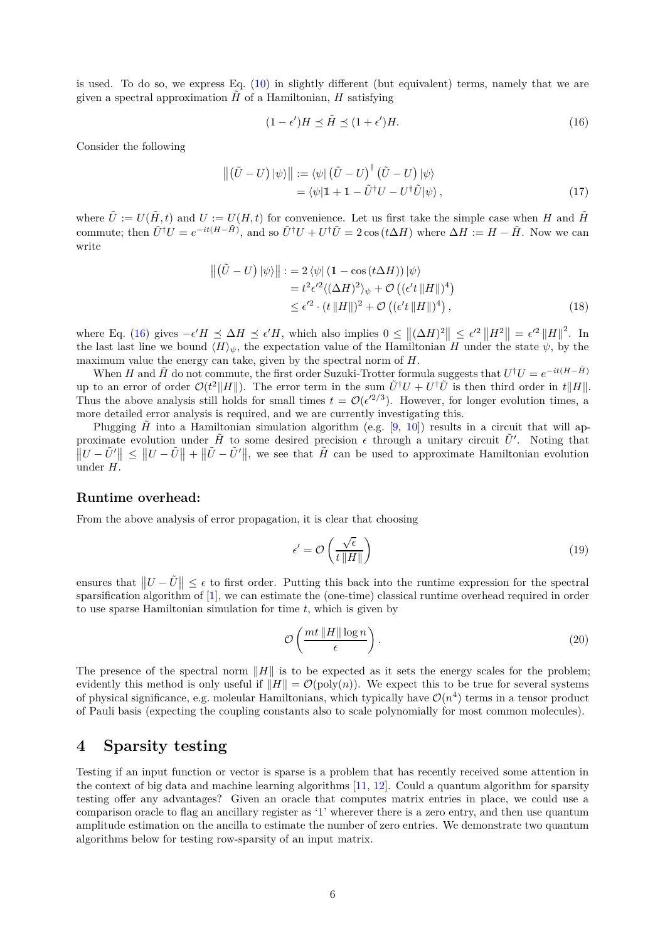is used. To do so, we express Eq. [\(10\)](#page-4-1) in slightly different (but equivalent) terms, namely that we are given a spectral approximation  $H$  of a Hamiltonian,  $H$  satisfying

<span id="page-5-1"></span>
$$
(1 - \epsilon')H \preceq \tilde{H} \preceq (1 + \epsilon')H. \tag{16}
$$

Consider the following

$$
\left\| \left( \tilde{U} - U \right) \left| \psi \right> \right\| := \left\langle \psi \right| \left( \tilde{U} - U \right)^{\dagger} \left( \tilde{U} - U \right) \left| \psi \right\rangle \n= \left\langle \psi \right| \mathbb{1} + \mathbb{1} - \tilde{U}^{\dagger} U - U^{\dagger} \tilde{U} \left| \psi \right\rangle,
$$
\n(17)

where  $\tilde{U} := U(\tilde{H}, t)$  and  $U := U(H, t)$  for convenience. Let us first take the simple case when *H* and  $\tilde{H}$ commute; then  $\tilde{U}^{\dagger}U = e^{-it(H-\tilde{H})}$ , and so  $\tilde{U}^{\dagger}U + U^{\dagger}\tilde{U} = 2\cos(t\Delta H)$  where  $\Delta H := H - \tilde{H}$ . Now we can write

$$
\begin{aligned} \left\| \left( \tilde{U} - U \right) \left| \psi \right> \right\| &:= 2 \left\langle \psi \right| \left( 1 - \cos \left( t \Delta H \right) \right) \left| \psi \right> \\ &= t^2 \epsilon'^2 \langle \left( \Delta H \right)^2 \rangle_{\psi} + \mathcal{O} \left( \left( \epsilon' t \left\| H \right\| \right)^4 \right) \\ &\leq \epsilon'^2 \cdot \left( t \left\| H \right\| \right)^2 + \mathcal{O} \left( \left( \epsilon' t \left\| H \right\| \right)^4 \right), \end{aligned} \tag{18}
$$

where Eq. [\(16\)](#page-5-1) gives  $-\epsilon' H \leq \Delta H \leq \epsilon' H$ , which also implies  $0 \leq ||(\Delta H)^2|| \leq \epsilon'^2 ||H^2|| = \epsilon'^2 ||H||^2$ . In the last last line we bound  $\langle H \rangle_{\psi}$ , the expectation value of the Hamiltonian *H* under the state  $\psi$ , by the maximum value the energy can take, given by the spectral norm of *H*.

When *H* and  $\tilde{H}$  do not commute, the first order Suzuki-Trotter formula suggests that  $U^{\dagger}U = e^{-it(H-\tilde{H})}$ up to an error of order  $\mathcal{O}(t^2||H||)$ . The error term in the sum  $\tilde{U}^{\dagger}U + U^{\dagger}\tilde{U}$  is then third order in  $t||H||$ . Thus the above analysis still holds for small times  $t = \mathcal{O}(\epsilon'^{2/3})$ . However, for longer evolution times, a more detailed error analysis is required, and we are currently investigating this.

Plugging  $\tilde{H}$  into a Hamiltonian simulation algorithm (e.g. [\[9,](#page-9-8) [10\]](#page-9-9)) results in a circuit that will approximate evolution under  $\tilde{H}$  to some desired precision  $\epsilon$  through a unitary circuit  $\tilde{U}'$ . Noting that  $\|U - \tilde{U}'\| \leq \|U - \tilde{U}\| + \|\tilde{U} - \tilde{U}'\|$ , we see that  $\tilde{H}$  can be used to approximate Hamiltonian evolution under *H*.

#### **Runtime overhead:**

From the above analysis of error propagation, it is clear that choosing

$$
\epsilon' = \mathcal{O}\left(\frac{\sqrt{\epsilon}}{t \, ||H||}\right) \tag{19}
$$

ensures that  $||U - \tilde{U}|| \leq \epsilon$  to first order. Putting this back into the runtime expression for the spectral sparsification algorithm of [\[1\]](#page-9-0), we can estimate the (one-time) classical runtime overhead required in order to use sparse Hamiltonian simulation for time *t*, which is given by

$$
\mathcal{O}\left(\frac{mt\,\|H\|\log n}{\epsilon}\right). \tag{20}
$$

The presence of the spectral norm  $||H||$  is to be expected as it sets the energy scales for the problem; evidently this method is only useful if  $||H|| = \mathcal{O}(\text{poly}(n))$ . We expect this to be true for several systems of physical significance, e.g. moleular Hamiltonians, which typically have  $\mathcal{O}(n^4)$  terms in a tensor product of Pauli basis (expecting the coupling constants also to scale polynomially for most common molecules).

## <span id="page-5-0"></span>**4 Sparsity testing**

Testing if an input function or vector is sparse is a problem that has recently received some attention in the context of big data and machine learning algorithms [\[11,](#page-9-10) [12\]](#page-9-11). Could a quantum algorithm for sparsity testing offer any advantages? Given an oracle that computes matrix entries in place, we could use a comparison oracle to flag an ancillary register as '1' wherever there is a zero entry, and then use quantum amplitude estimation on the ancilla to estimate the number of zero entries. We demonstrate two quantum algorithms below for testing row-sparsity of an input matrix.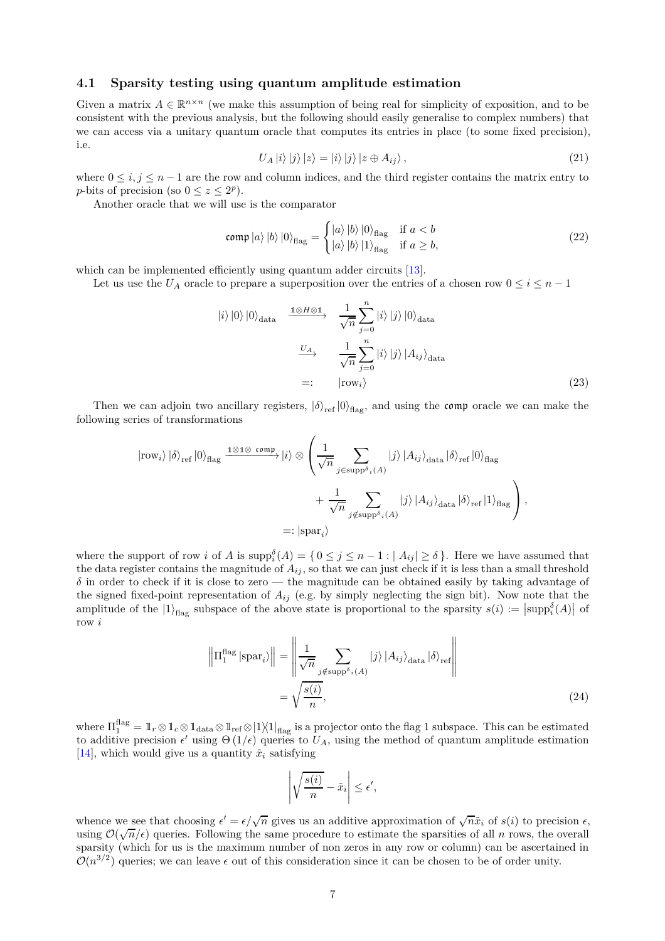#### **4.1 Sparsity testing using quantum amplitude estimation**

Given a matrix  $A \in \mathbb{R}^{n \times n}$  (we make this assumption of being real for simplicity of exposition, and to be consistent with the previous analysis, but the following should easily generalise to complex numbers) that we can access via a unitary quantum oracle that computes its entries in place (to some fixed precision), i.e.

<span id="page-6-0"></span>
$$
U_A|i\rangle |j\rangle |z\rangle = |i\rangle |j\rangle |z \oplus A_{ij}\rangle , \qquad (21)
$$

where  $0 \leq i, j \leq n-1$  are the row and column indices, and the third register contains the matrix entry to *p*-bits of precision (so  $0 \le z \le 2^p$ ).

Another oracle that we will use is the comparator

$$
\operatorname{comp} \ket{a} \ket{b} \ket{0}_{\text{flag}} = \begin{cases} \ket{a} \ket{b} \ket{0}_{\text{flag}} & \text{if } a < b \\ \ket{a} \ket{b} \ket{1}_{\text{flag}} & \text{if } a \ge b, \end{cases} \tag{22}
$$

which can be implemented efficiently using quantum adder circuits [\[13\]](#page-9-12).

Let us use the  $U_A$  oracle to prepare a superposition over the entries of a chosen row  $0 \le i \le n - 1$ 

$$
|i\rangle|0\rangle|0\rangle_{\text{data}} \xrightarrow{1 \otimes H \otimes 1} \frac{1}{\sqrt{n}} \sum_{j=0}^{n} |i\rangle|j\rangle|0\rangle_{\text{data}}
$$

$$
\xrightarrow{U_A} \frac{1}{\sqrt{n}} \sum_{j=0}^{n} |i\rangle|j\rangle|A_{ij}\rangle_{\text{data}}
$$

$$
=: |row_i\rangle \tag{23}
$$

Then we can adjoin two ancillary registers,  $|\delta\rangle_{\text{ref}}|0\rangle_{\text{flag}}$ , and using the comp oracle we can make the following series of transformations

$$
|\text{row}_{i}\rangle |\delta\rangle_{\text{ref}} |0\rangle_{\text{flag}} \xrightarrow{1 \otimes 1 \otimes \text{comp}} |i\rangle \otimes \left(\frac{1}{\sqrt{n}} \sum_{j \in \text{supp}^{\delta} i(A)} |j\rangle |A_{ij}\rangle_{\text{data}} |\delta\rangle_{\text{ref}} |0\rangle_{\text{flag}} + \frac{1}{\sqrt{n}} \sum_{j \notin \text{supp}^{\delta} i(A)} |j\rangle |A_{ij}\rangle_{\text{data}} |\delta\rangle_{\text{ref}} |1\rangle_{\text{flag}}\right),
$$
  

$$
=: |\text{spar}_{i}\rangle
$$

where the support of row *i* of *A* is  $\text{supp}_i^{\delta}(A) = \{0 \leq j \leq n-1 : |A_{ij}| \geq \delta\}$ . Here we have assumed that the data register contains the magnitude of  $A_{ij}$ , so that we can just check if it is less than a small threshold  $\delta$  in order to check if it is close to zero — the magnitude can be obtained easily by taking advantage of the signed fixed-point representation of  $A_{ij}$  (e.g. by simply neglecting the sign bit). Now note that the amplitude of the  $|1\rangle_{\text{flag}}$  subspace of the above state is proportional to the sparsity  $s(i) := |\text{supp}_i^{\delta}(A)|$  of row *i*

$$
\left\| \Pi_1^{\text{flag}} \left| \text{spar}_i \right\rangle \right\| = \left\| \frac{1}{\sqrt{n}} \sum_{j \notin \text{supp}^{\delta_i}(A)} \left| j \right\rangle \left| A_{ij} \right\rangle_{\text{data}} \left| \delta \right\rangle_{\text{ref}} \right\|
$$

$$
= \sqrt{\frac{s(i)}{n}}, \tag{24}
$$

where  $\Pi_1^{\text{flag}} = \mathbb{1}_r \otimes \mathbb{1}_c \otimes \mathbb{1}_{\text{data}} \otimes \mathbb{1}_{\text{ref}} \otimes |1\rangle\langle 1|_{\text{flag}}$  is a projector onto the flag 1 subspace. This can be estimated to additive precision  $\epsilon'$  using  $\Theta(1/\epsilon)$  queries to  $U_A$ , using the method of quantum amplitude estimation [\[14\]](#page-9-13), which would give us a quantity  $\tilde{x}_i$  satisfying

$$
\left| \sqrt{\frac{s(i)}{n}} - \tilde{x}_i \right| \le \epsilon',
$$

whence we see that choosing  $\epsilon' = \epsilon/\sqrt{n}$  gives us an additive approximation of  $\sqrt{n}\tilde{x}_i$  of  $s(i)$  to precision  $\epsilon$ , using  $\mathcal{O}(\sqrt{n}/\epsilon)$  queries. Following the same procedure to estimate the sparsities of all *n* rows, the overall sparsity (which for us is the maximum number of non zeros in any row or column) can be ascertained in  $\mathcal{O}(n^{3/2})$  queries; we can leave  $\epsilon$  out of this consideration since it can be chosen to be of order unity.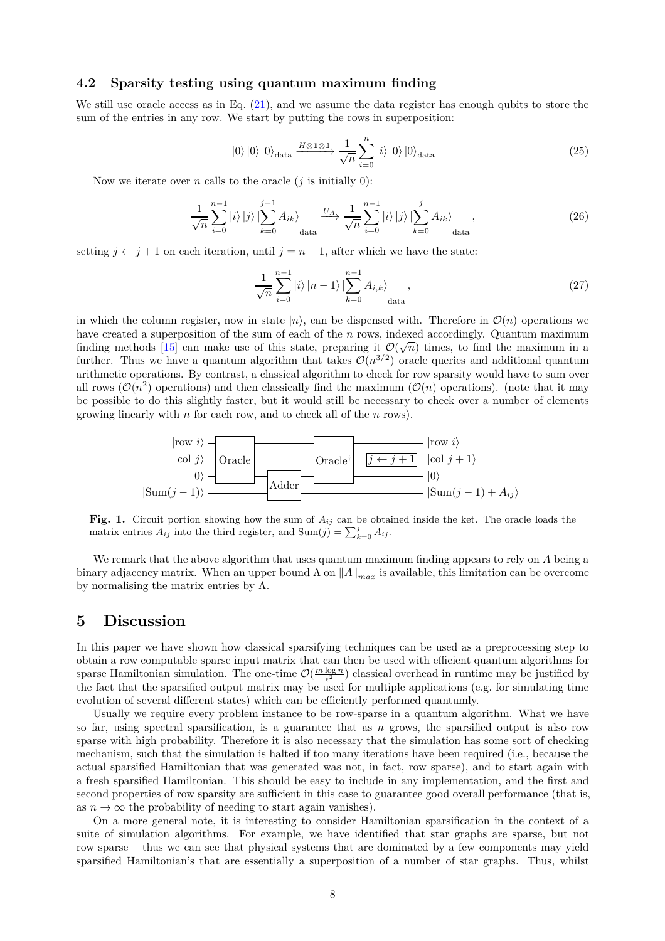#### **4.2 Sparsity testing using quantum maximum finding**

We still use oracle access as in Eq.  $(21)$ , and we assume the data register has enough qubits to store the sum of the entries in any row. We start by putting the rows in superposition:

$$
|0\rangle |0\rangle |0\rangle_{\text{data}} \xrightarrow{H \otimes \mathbb{1} \otimes \mathbb{1}} \frac{1}{\sqrt{n}} \sum_{i=0}^{n} |i\rangle |0\rangle |0\rangle_{\text{data}}
$$
 (25)

Now we iterate over *n* calls to the oracle  $(i$  is initially 0):

$$
\frac{1}{\sqrt{n}}\sum_{i=0}^{n-1}|i\rangle|j\rangle|\sum_{k=0}^{j-1}A_{ik}\rangle\underset{\text{data}}{\xrightarrow{U_A}}\frac{1}{\sqrt{n}}\sum_{i=0}^{n-1}|i\rangle|j\rangle|\sum_{k=0}^{j}A_{ik}\rangle\underset{\text{data}}{\qquad},\tag{26}
$$

setting  $j \leftarrow j + 1$  on each iteration, until  $j = n - 1$ , after which we have the state:

$$
\frac{1}{\sqrt{n}}\sum_{i=0}^{n-1}|i\rangle|n-1\rangle\left|\sum_{k=0}^{n-1}A_{i,k}\right\rangle_{\text{data}},\tag{27}
$$

in which the column register, now in state  $|n\rangle$ , can be dispensed with. Therefore in  $\mathcal{O}(n)$  operations we have created a superposition of the sum of each of the *n* rows, indexed accordingly. Quantum maximum finding methods [\[15\]](#page-9-14) can make use of this state, preparing it  $\mathcal{O}(\sqrt{n})$  times, to find the maximum in a further. Thus we have a quantum algorithm that takes  $\mathcal{O}(n^{3/2})$  oracle queries and additional quantum arithmetic operations. By contrast, a classical algorithm to check for row sparsity would have to sum over all rows  $(\mathcal{O}(n^2)$  operations) and then classically find the maximum  $(\mathcal{O}(n)$  operations). (note that it may be possible to do this slightly faster, but it would still be necessary to check over a number of elements growing linearly with *n* for each row, and to check all of the *n* rows).



**Fig. 1.** Circuit portion showing how the sum of  $A_{ij}$  can be obtained inside the ket. The oracle loads the matrix entries  $A_{ij}$  into the third register, and  $\text{Sum}(j) = \sum_{k=0}^{j} A_{ij}$ .

We remark that the above algorithm that uses quantum maximum finding appears to rely on *A* being a binary adjacency matrix. When an upper bound  $\Lambda$  on  $||A||_{max}$  is available, this limitation can be overcome by normalising the matrix entries by  $\Lambda$ .

## <span id="page-7-0"></span>**5 Discussion**

In this paper we have shown how classical sparsifying techniques can be used as a preprocessing step to obtain a row computable sparse input matrix that can then be used with efficient quantum algorithms for sparse Hamiltonian simulation. The one-time  $\mathcal{O}(\frac{m \log n}{\epsilon^2})$  classical overhead in runtime may be justified by the fact that the sparsified output matrix may be used for multiple applications (e.g. for simulating time evolution of several different states) which can be efficiently performed quantumly.

Usually we require every problem instance to be row-sparse in a quantum algorithm. What we have so far, using spectral sparsification, is a guarantee that as *n* grows, the sparsified output is also row sparse with high probability. Therefore it is also necessary that the simulation has some sort of checking mechanism, such that the simulation is halted if too many iterations have been required (i.e., because the actual sparsified Hamiltonian that was generated was not, in fact, row sparse), and to start again with a fresh sparsified Hamiltonian. This should be easy to include in any implementation, and the first and second properties of row sparsity are sufficient in this case to guarantee good overall performance (that is, as  $n \to \infty$  the probability of needing to start again vanishes).

On a more general note, it is interesting to consider Hamiltonian sparsification in the context of a suite of simulation algorithms. For example, we have identified that star graphs are sparse, but not row sparse – thus we can see that physical systems that are dominated by a few components may yield sparsified Hamiltonian's that are essentially a superposition of a number of star graphs. Thus, whilst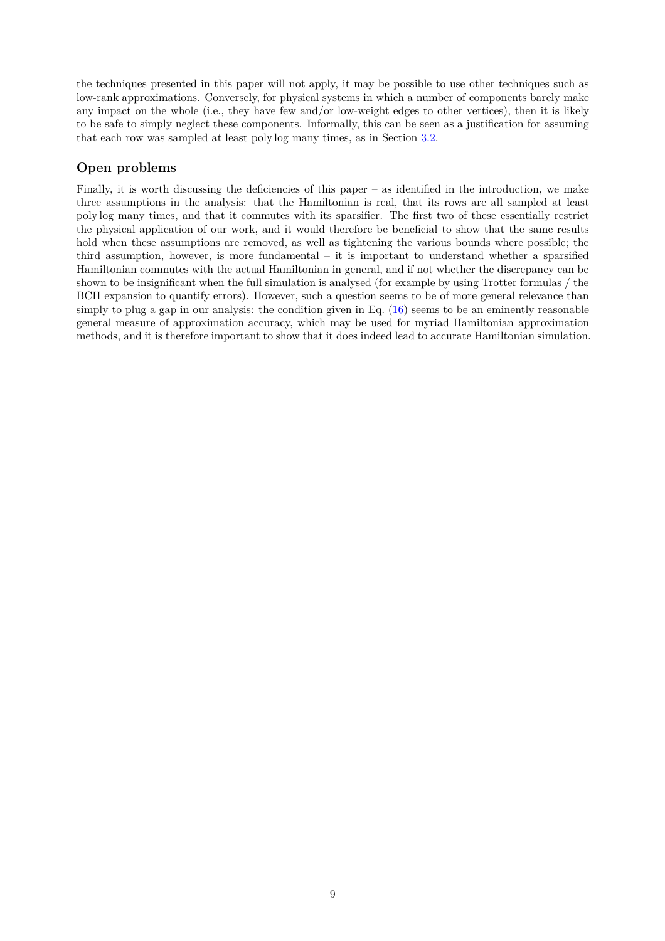the techniques presented in this paper will not apply, it may be possible to use other techniques such as low-rank approximations. Conversely, for physical systems in which a number of components barely make any impact on the whole (i.e., they have few and/or low-weight edges to other vertices), then it is likely to be safe to simply neglect these components. Informally, this can be seen as a justification for assuming that each row was sampled at least poly log many times, as in Section [3.2.](#page-3-1)

## **Open problems**

Finally, it is worth discussing the deficiencies of this paper – as identified in the introduction, we make three assumptions in the analysis: that the Hamiltonian is real, that its rows are all sampled at least poly log many times, and that it commutes with its sparsifier. The first two of these essentially restrict the physical application of our work, and it would therefore be beneficial to show that the same results hold when these assumptions are removed, as well as tightening the various bounds where possible; the third assumption, however, is more fundamental – it is important to understand whether a sparsified Hamiltonian commutes with the actual Hamiltonian in general, and if not whether the discrepancy can be shown to be insignificant when the full simulation is analysed (for example by using Trotter formulas / the BCH expansion to quantify errors). However, such a question seems to be of more general relevance than simply to plug a gap in our analysis: the condition given in Eq.  $(16)$  seems to be an eminently reasonable general measure of approximation accuracy, which may be used for myriad Hamiltonian approximation methods, and it is therefore important to show that it does indeed lead to accurate Hamiltonian simulation.